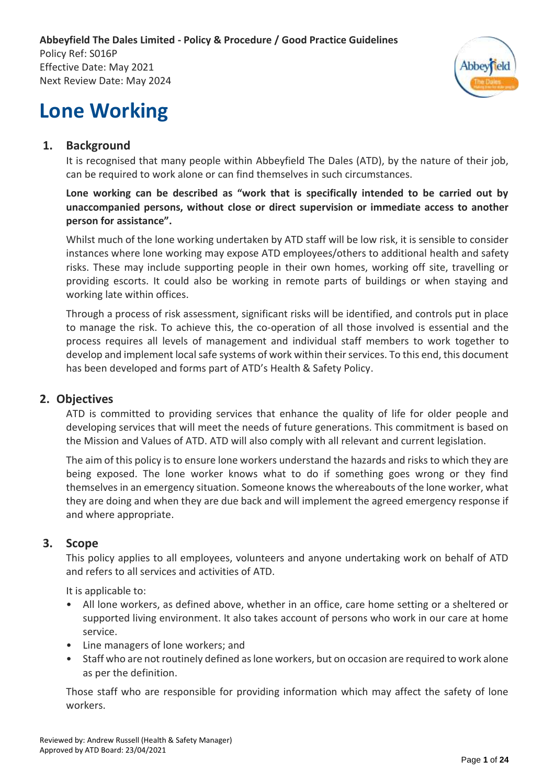**Abbeyfield The Dales Limited - Policy & Procedure / Good Practice Guidelines** Policy Ref: S016P Effective Date: May 2021 Next Review Date: May 2024



# **Lone Working**

# **1. Background**

It is recognised that many people within Abbeyfield The Dales (ATD), by the nature of their job, can be required to work alone or can find themselves in such circumstances.

#### **Lone working can be described as "work that is specifically intended to be carried out by unaccompanied persons, without close or direct supervision or immediate access to another person for assistance".**

Whilst much of the lone working undertaken by ATD staff will be low risk, it is sensible to consider instances where lone working may expose ATD employees/others to additional health and safety risks. These may include supporting people in their own homes, working off site, travelling or providing escorts. It could also be working in remote parts of buildings or when staying and working late within offices.

Through a process of risk assessment, significant risks will be identified, and controls put in place to manage the risk. To achieve this, the co-operation of all those involved is essential and the process requires all levels of management and individual staff members to work together to develop and implement local safe systems of work within their services. To this end, this document has been developed and forms part of ATD's Health & Safety Policy.

## **2. Objectives**

ATD is committed to providing services that enhance the quality of life for older people and developing services that will meet the needs of future generations. This commitment is based on the Mission and Values of ATD. ATD will also comply with all relevant and current legislation.

The aim of this policy is to ensure lone workers understand the hazards and risks to which they are being exposed. The lone worker knows what to do if something goes wrong or they find themselves in an emergency situation. Someone knows the whereabouts of the lone worker, what they are doing and when they are due back and will implement the agreed emergency response if and where appropriate.

## **3. Scope**

This policy applies to all employees, volunteers and anyone undertaking work on behalf of ATD and refers to all services and activities of ATD.

It is applicable to:

- All lone workers, as defined above, whether in an office, care home setting or a sheltered or supported living environment. It also takes account of persons who work in our care at home service.
- Line managers of lone workers; and
- Staff who are not routinely defined as lone workers, but on occasion are required to work alone as per the definition.

Those staff who are responsible for providing information which may affect the safety of lone workers.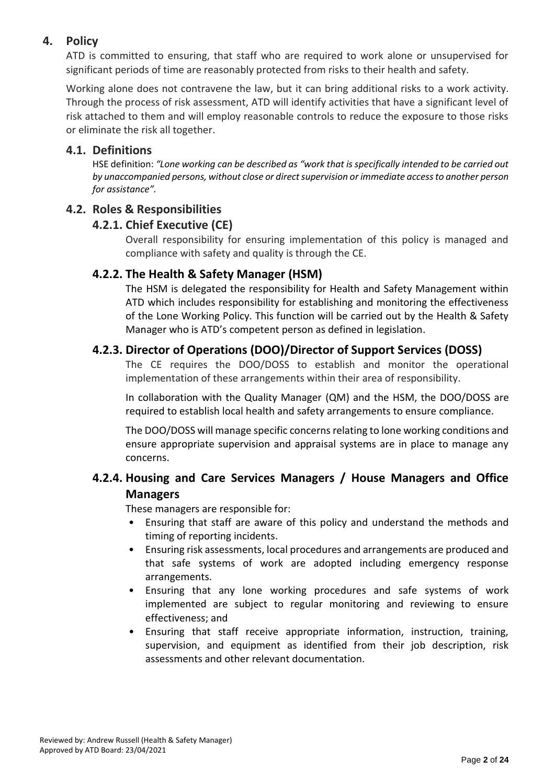# **4. Policy**

ATD is committed to ensuring, that staff who are required to work alone or unsupervised for significant periods of time are reasonably protected from risks to their health and safety.

Working alone does not contravene the law, but it can bring additional risks to a work activity. Through the process of risk assessment, ATD will identify activities that have a significant level of risk attached to them and will employ reasonable controls to reduce the exposure to those risks or eliminate the risk all together.

#### **4.1. Definitions**

HSE definition: *"Lone working can be described as "work that is specifically intended to be carried out by unaccompanied persons, without close or direct supervision or immediate access to another person for assistance".*

## **4.2. Roles & Responsibilities**

#### **4.2.1. Chief Executive (CE)**

Overall responsibility for ensuring implementation of this policy is managed and compliance with safety and quality is through the CE.

#### **4.2.2. The Health & Safety Manager (HSM)**

The HSM is delegated the responsibility for Health and Safety Management within ATD which includes responsibility for establishing and monitoring the effectiveness of the Lone Working Policy. This function will be carried out by the Health & Safety Manager who is ATD's competent person as defined in legislation.

## **4.2.3. Director of Operations (DOO)/Director of Support Services (DOSS)**

The CE requires the DOO/DOSS to establish and monitor the operational implementation of these arrangements within their area of responsibility.

In collaboration with the Quality Manager (QM) and the HSM, the DOO/DOSS are required to establish local health and safety arrangements to ensure compliance.

The DOO/DOSS will manage specific concerns relating to lone working conditions and ensure appropriate supervision and appraisal systems are in place to manage any concerns.

# **4.2.4. Housing and Care Services Managers / House Managers and Office Managers**

These managers are responsible for:

- Ensuring that staff are aware of this policy and understand the methods and timing of reporting incidents.
- Ensuring risk assessments, local procedures and arrangements are produced and that safe systems of work are adopted including emergency response arrangements.
- Ensuring that any lone working procedures and safe systems of work implemented are subject to regular monitoring and reviewing to ensure effectiveness; and
- Ensuring that staff receive appropriate information, instruction, training, supervision, and equipment as identified from their job description, risk assessments and other relevant documentation.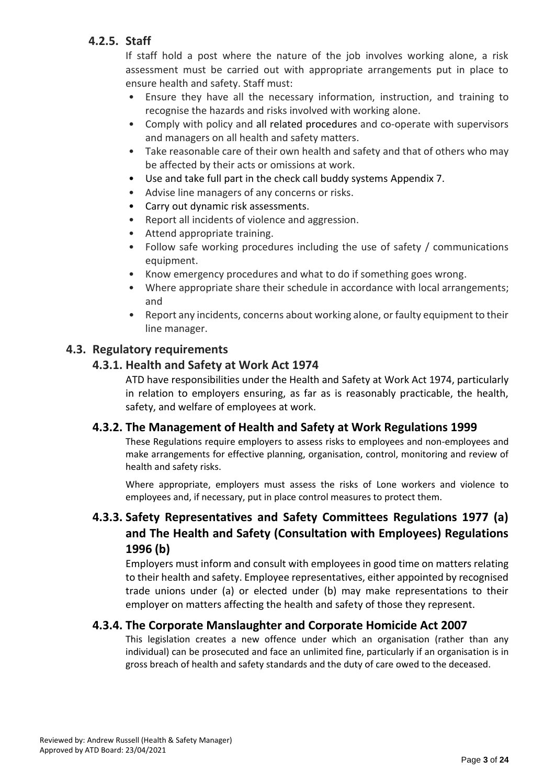# **4.2.5. Staff**

If staff hold a post where the nature of the job involves working alone, a risk assessment must be carried out with appropriate arrangements put in place to ensure health and safety. Staff must:

- Ensure they have all the necessary information, instruction, and training to recognise the hazards and risks involved with working alone.
- Comply with policy and all related procedures and co-operate with supervisors and managers on all health and safety matters.
- Take reasonable care of their own health and safety and that of others who may be affected by their acts or omissions at work.
- Use and take full part in the check call buddy systems Appendix 7.
- Advise line managers of any concerns or risks.
- Carry out dynamic risk assessments.
- Report all incidents of violence and aggression.
- Attend appropriate training.
- Follow safe working procedures including the use of safety / communications equipment.
- Know emergency procedures and what to do if something goes wrong.
- Where appropriate share their schedule in accordance with local arrangements; and
- Report any incidents, concerns about working alone, or faulty equipment to their line manager.

## **4.3. Regulatory requirements**

## **4.3.1. Health and Safety at Work Act 1974**

ATD have responsibilities under the Health and Safety at Work Act 1974, particularly in relation to employers ensuring, as far as is reasonably practicable, the health, safety, and welfare of employees at work.

#### **4.3.2. The Management of Health and Safety at Work Regulations 1999**

These Regulations require employers to assess risks to employees and non-employees and make arrangements for effective planning, organisation, control, monitoring and review of health and safety risks.

Where appropriate, employers must assess the risks of Lone workers and violence to employees and, if necessary, put in place control measures to protect them.

# **4.3.3. Safety Representatives and Safety Committees Regulations 1977 (a) and The Health and Safety (Consultation with Employees) Regulations 1996 (b)**

Employers must inform and consult with employees in good time on matters relating to their health and safety. Employee representatives, either appointed by recognised trade unions under (a) or elected under (b) may make representations to their employer on matters affecting the health and safety of those they represent.

## **4.3.4. The Corporate Manslaughter and Corporate Homicide Act 2007**

This legislation creates a new offence under which an organisation (rather than any individual) can be prosecuted and face an unlimited fine, particularly if an organisation is in gross breach of health and safety standards and the duty of care owed to the deceased.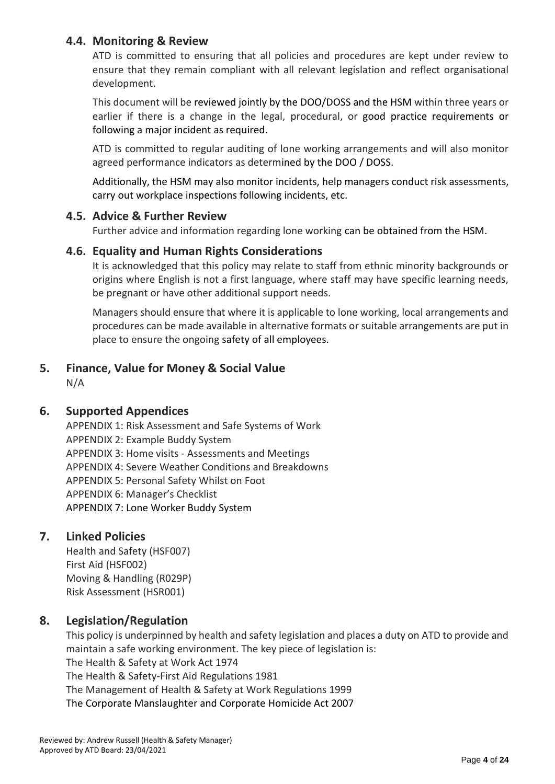## **4.4. Monitoring & Review**

ATD is committed to ensuring that all policies and procedures are kept under review to ensure that they remain compliant with all relevant legislation and reflect organisational development.

This document will be reviewed jointly by the DOO/DOSS and the HSM within three years or earlier if there is a change in the legal, procedural, or good practice requirements or following a major incident as required.

ATD is committed to regular auditing of lone working arrangements and will also monitor agreed performance indicators as determined by the DOO / DOSS.

Additionally, the HSM may also monitor incidents, help managers conduct risk assessments, carry out workplace inspections following incidents, etc.

#### **4.5. Advice & Further Review**

Further advice and information regarding lone working can be obtained from the HSM.

#### **4.6. Equality and Human Rights Considerations**

It is acknowledged that this policy may relate to staff from ethnic minority backgrounds or origins where English is not a first language, where staff may have specific learning needs, be pregnant or have other additional support needs.

Managers should ensure that where it is applicable to lone working, local arrangements and procedures can be made available in alternative formats or suitable arrangements are put in place to ensure the ongoing safety of all employees.

## **5. Finance, Value for Money & Social Value**

N/A

## **6. Supported Appendices**

APPENDIX 1: Risk Assessment and Safe Systems of Work APPENDIX 2: Example Buddy System APPENDIX 3: Home visits - Assessments and Meetings APPENDIX 4: Severe Weather Conditions and Breakdowns APPENDIX 5: Personal Safety Whilst on Foot APPENDIX 6: Manager's Checklist APPENDIX 7: Lone Worker Buddy System

## **7. Linked Policies**

Health and Safety (HSF007) First Aid (HSF002) Moving & Handling (R029P) Risk Assessment (HSR001)

## **8. Legislation/Regulation**

This policy is underpinned by health and safety legislation and places a duty on ATD to provide and maintain a safe working environment. The key piece of legislation is: The Health & Safety at Work Act 1974 The Health & Safety-First Aid Regulations 1981 The Management of Health & Safety at Work Regulations 1999 The Corporate Manslaughter and Corporate Homicide Act 2007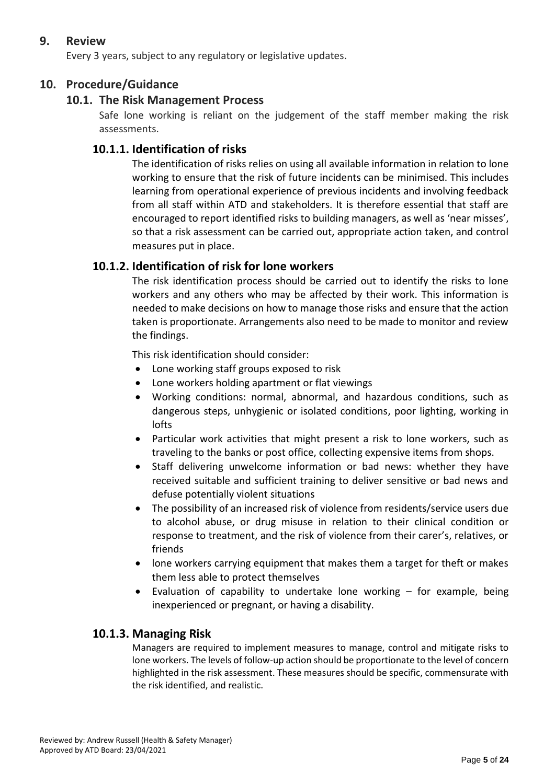## **9. Review**

Every 3 years, subject to any regulatory or legislative updates.

## **10. Procedure/Guidance**

#### **10.1. The Risk Management Process**

Safe lone working is reliant on the judgement of the staff member making the risk assessments.

#### **10.1.1. Identification of risks**

The identification of risks relies on using all available information in relation to lone working to ensure that the risk of future incidents can be minimised. This includes learning from operational experience of previous incidents and involving feedback from all staff within ATD and stakeholders. It is therefore essential that staff are encouraged to report identified risks to building managers, as well as 'near misses', so that a risk assessment can be carried out, appropriate action taken, and control measures put in place.

#### **10.1.2. Identification of risk for lone workers**

The risk identification process should be carried out to identify the risks to lone workers and any others who may be affected by their work. This information is needed to make decisions on how to manage those risks and ensure that the action taken is proportionate. Arrangements also need to be made to monitor and review the findings.

This risk identification should consider:

- Lone working staff groups exposed to risk
- Lone workers holding apartment or flat viewings
- Working conditions: normal, abnormal, and hazardous conditions, such as dangerous steps, unhygienic or isolated conditions, poor lighting, working in lofts
- Particular work activities that might present a risk to lone workers, such as traveling to the banks or post office, collecting expensive items from shops.
- Staff delivering unwelcome information or bad news: whether they have received suitable and sufficient training to deliver sensitive or bad news and defuse potentially violent situations
- The possibility of an increased risk of violence from residents/service users due to alcohol abuse, or drug misuse in relation to their clinical condition or response to treatment, and the risk of violence from their carer's, relatives, or friends
- lone workers carrying equipment that makes them a target for theft or makes them less able to protect themselves
- Evaluation of capability to undertake lone working for example, being inexperienced or pregnant, or having a disability.

#### **10.1.3. Managing Risk**

Managers are required to implement measures to manage, control and mitigate risks to lone workers. The levels of follow-up action should be proportionate to the level of concern highlighted in the risk assessment. These measures should be specific, commensurate with the risk identified, and realistic.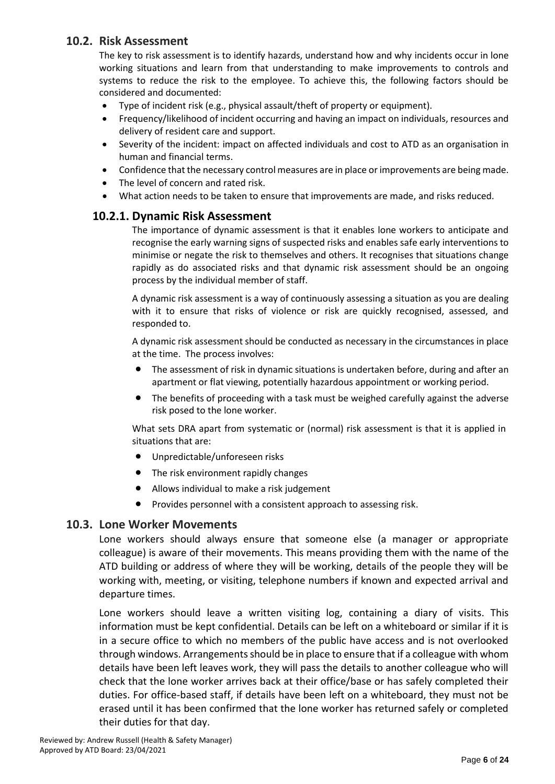## **10.2. Risk Assessment**

The key to risk assessment is to identify hazards, understand how and why incidents occur in lone working situations and learn from that understanding to make improvements to controls and systems to reduce the risk to the employee. To achieve this, the following factors should be considered and documented:

- Type of incident risk (e.g., physical assault/theft of property or equipment).
- Frequency/likelihood of incident occurring and having an impact on individuals, resources and delivery of resident care and support.
- Severity of the incident: impact on affected individuals and cost to ATD as an organisation in human and financial terms.
- Confidence that the necessary control measures are in place or improvements are being made.
- The level of concern and rated risk.
- What action needs to be taken to ensure that improvements are made, and risks reduced.

#### **10.2.1. Dynamic Risk Assessment**

The importance of dynamic assessment is that it enables lone workers to anticipate and recognise the early warning signs of suspected risks and enables safe early interventions to minimise or negate the risk to themselves and others. It recognises that situations change rapidly as do associated risks and that dynamic risk assessment should be an ongoing process by the individual member of staff.

A dynamic risk assessment is a way of continuously assessing a situation as you are dealing with it to ensure that risks of violence or risk are quickly recognised, assessed, and responded to.

A dynamic risk assessment should be conducted as necessary in the circumstances in place at the time. The process involves:

- The assessment of risk in dynamic situations is undertaken before, during and after an apartment or flat viewing, potentially hazardous appointment or working period.
- The benefits of proceeding with a task must be weighed carefully against the adverse risk posed to the lone worker.

What sets DRA apart from systematic or (normal) risk assessment is that it is applied in situations that are:

- Unpredictable/unforeseen risks
- The risk environment rapidly changes
- Allows individual to make a risk judgement
- Provides personnel with a consistent approach to assessing risk.

#### **10.3. Lone Worker Movements**

Lone workers should always ensure that someone else (a manager or appropriate colleague) is aware of their movements. This means providing them with the name of the ATD building or address of where they will be working, details of the people they will be working with, meeting, or visiting, telephone numbers if known and expected arrival and departure times.

Lone workers should leave a written visiting log, containing a diary of visits. This information must be kept confidential. Details can be left on a whiteboard or similar if it is in a secure office to which no members of the public have access and is not overlooked through windows. Arrangements should be in place to ensure that if a colleague with whom details have been left leaves work, they will pass the details to another colleague who will check that the lone worker arrives back at their office/base or has safely completed their duties. For office-based staff, if details have been left on a whiteboard, they must not be erased until it has been confirmed that the lone worker has returned safely or completed their duties for that day.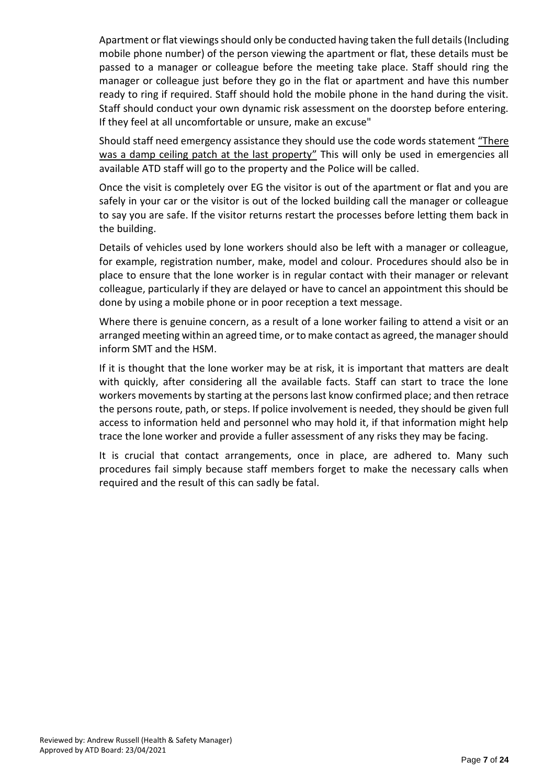Apartment or flat viewings should only be conducted having taken the full details (Including mobile phone number) of the person viewing the apartment or flat, these details must be passed to a manager or colleague before the meeting take place. Staff should ring the manager or colleague just before they go in the flat or apartment and have this number ready to ring if required. Staff should hold the mobile phone in the hand during the visit. Staff should conduct your own dynamic risk assessment on the doorstep before entering. If they feel at all uncomfortable or unsure, make an excuse"

Should staff need emergency assistance they should use the code words statement "There was a damp ceiling patch at the last property" This will only be used in emergencies all available ATD staff will go to the property and the Police will be called.

Once the visit is completely over EG the visitor is out of the apartment or flat and you are safely in your car or the visitor is out of the locked building call the manager or colleague to say you are safe. If the visitor returns restart the processes before letting them back in the building.

Details of vehicles used by lone workers should also be left with a manager or colleague, for example, registration number, make, model and colour. Procedures should also be in place to ensure that the lone worker is in regular contact with their manager or relevant colleague, particularly if they are delayed or have to cancel an appointment this should be done by using a mobile phone or in poor reception a text message.

Where there is genuine concern, as a result of a lone worker failing to attend a visit or an arranged meeting within an agreed time, or to make contact as agreed, the manager should inform SMT and the HSM.

If it is thought that the lone worker may be at risk, it is important that matters are dealt with quickly, after considering all the available facts. Staff can start to trace the lone workers movements by starting at the persons last know confirmed place; and then retrace the persons route, path, or steps. If police involvement is needed, they should be given full access to information held and personnel who may hold it, if that information might help trace the lone worker and provide a fuller assessment of any risks they may be facing.

It is crucial that contact arrangements, once in place, are adhered to. Many such procedures fail simply because staff members forget to make the necessary calls when required and the result of this can sadly be fatal.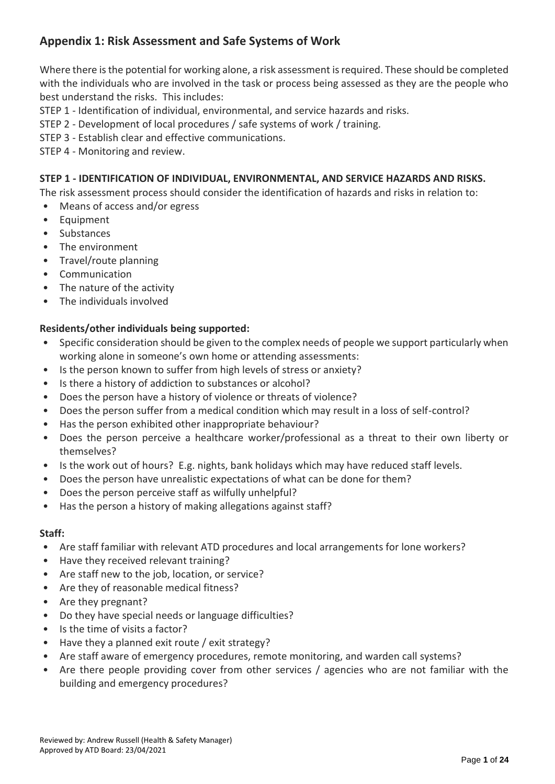# **Appendix 1: Risk Assessment and Safe Systems of Work**

Where there is the potential for working alone, a risk assessment is required. These should be completed with the individuals who are involved in the task or process being assessed as they are the people who best understand the risks. This includes:

- STEP 1 Identification of individual, environmental, and service hazards and risks.
- STEP 2 Development of local procedures / safe systems of work / training.
- STEP 3 Establish clear and effective communications.
- STEP 4 Monitoring and review.

#### **STEP 1 - IDENTIFICATION OF INDIVIDUAL, ENVIRONMENTAL, AND SERVICE HAZARDS AND RISKS.**

The risk assessment process should consider the identification of hazards and risks in relation to:

- Means of access and/or egress
- Equipment
- Substances
- The environment
- Travel/route planning
- Communication
- The nature of the activity
- The individuals involved

#### **Residents/other individuals being supported:**

- Specific consideration should be given to the complex needs of people we support particularly when working alone in someone's own home or attending assessments:
- Is the person known to suffer from high levels of stress or anxiety?
- Is there a history of addiction to substances or alcohol?
- Does the person have a history of violence or threats of violence?
- Does the person suffer from a medical condition which may result in a loss of self-control?
- Has the person exhibited other inappropriate behaviour?
- Does the person perceive a healthcare worker/professional as a threat to their own liberty or themselves?
- Is the work out of hours? E.g. nights, bank holidays which may have reduced staff levels.
- Does the person have unrealistic expectations of what can be done for them?
- Does the person perceive staff as wilfully unhelpful?
- Has the person a history of making allegations against staff?

#### **Staff:**

- Are staff familiar with relevant ATD procedures and local arrangements for lone workers?
- Have they received relevant training?
- Are staff new to the job, location, or service?
- Are they of reasonable medical fitness?
- Are they pregnant?
- Do they have special needs or language difficulties?
- Is the time of visits a factor?
- Have they a planned exit route / exit strategy?
- Are staff aware of emergency procedures, remote monitoring, and warden call systems?
- Are there people providing cover from other services / agencies who are not familiar with the building and emergency procedures?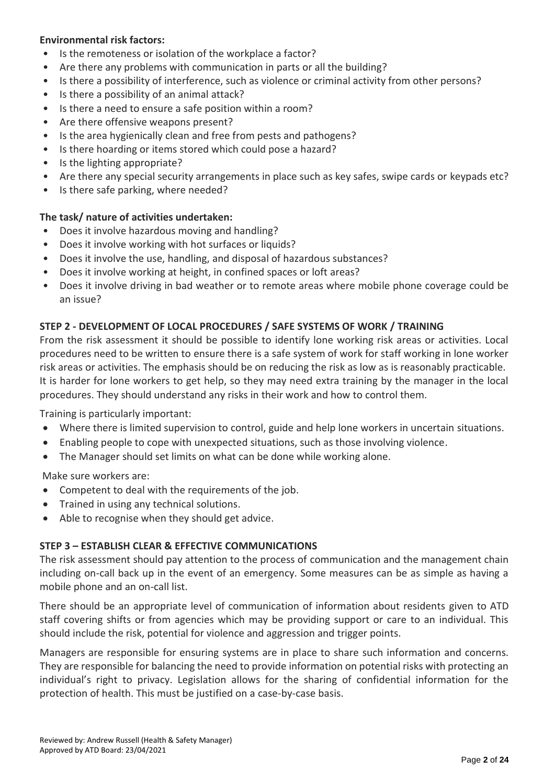#### **Environmental risk factors:**

- Is the remoteness or isolation of the workplace a factor?
- Are there any problems with communication in parts or all the building?
- Is there a possibility of interference, such as violence or criminal activity from other persons?
- Is there a possibility of an animal attack?
- Is there a need to ensure a safe position within a room?
- Are there offensive weapons present?
- Is the area hygienically clean and free from pests and pathogens?
- Is there hoarding or items stored which could pose a hazard?
- Is the lighting appropriate?
- Are there any special security arrangements in place such as key safes, swipe cards or keypads etc?
- Is there safe parking, where needed?

#### **The task/ nature of activities undertaken:**

- Does it involve hazardous moving and handling?
- Does it involve working with hot surfaces or liquids?
- Does it involve the use, handling, and disposal of hazardous substances?
- Does it involve working at height, in confined spaces or loft areas?
- Does it involve driving in bad weather or to remote areas where mobile phone coverage could be an issue?

#### **STEP 2 - DEVELOPMENT OF LOCAL PROCEDURES / SAFE SYSTEMS OF WORK / TRAINING**

From the risk assessment it should be possible to identify lone working risk areas or activities. Local procedures need to be written to ensure there is a safe system of work for staff working in lone worker risk areas or activities. The emphasis should be on reducing the risk as low as is reasonably practicable. It is harder for lone workers to get help, so they may need extra training by the manager in the local procedures. They should understand any risks in their work and how to control them.

Training is particularly important:

- Where there is limited supervision to control, guide and help lone workers in uncertain situations.
- Enabling people to cope with unexpected situations, such as those involving violence.
- The Manager should set limits on what can be done while working alone.

Make sure workers are:

- Competent to deal with the requirements of the job.
- Trained in using any technical solutions.
- Able to recognise when they should get advice.

#### **STEP 3 – ESTABLISH CLEAR & EFFECTIVE COMMUNICATIONS**

The risk assessment should pay attention to the process of communication and the management chain including on-call back up in the event of an emergency. Some measures can be as simple as having a mobile phone and an on-call list.

There should be an appropriate level of communication of information about residents given to ATD staff covering shifts or from agencies which may be providing support or care to an individual. This should include the risk, potential for violence and aggression and trigger points.

Managers are responsible for ensuring systems are in place to share such information and concerns. They are responsible for balancing the need to provide information on potential risks with protecting an individual's right to privacy. Legislation allows for the sharing of confidential information for the protection of health. This must be justified on a case-by-case basis.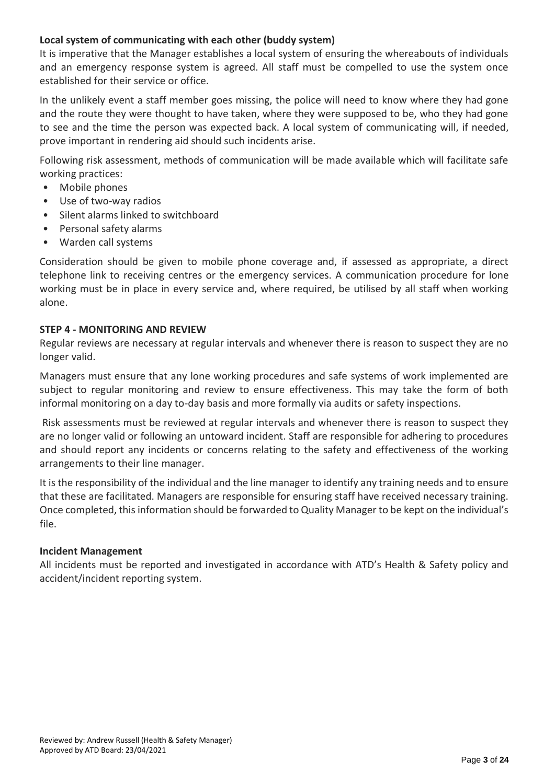#### **Local system of communicating with each other (buddy system)**

It is imperative that the Manager establishes a local system of ensuring the whereabouts of individuals and an emergency response system is agreed. All staff must be compelled to use the system once established for their service or office.

In the unlikely event a staff member goes missing, the police will need to know where they had gone and the route they were thought to have taken, where they were supposed to be, who they had gone to see and the time the person was expected back. A local system of communicating will, if needed, prove important in rendering aid should such incidents arise.

Following risk assessment, methods of communication will be made available which will facilitate safe working practices:

- Mobile phones
- Use of two-way radios
- Silent alarms linked to switchboard
- Personal safety alarms
- Warden call systems

Consideration should be given to mobile phone coverage and, if assessed as appropriate, a direct telephone link to receiving centres or the emergency services. A communication procedure for lone working must be in place in every service and, where required, be utilised by all staff when working alone.

#### **STEP 4 - MONITORING AND REVIEW**

Regular reviews are necessary at regular intervals and whenever there is reason to suspect they are no longer valid.

Managers must ensure that any lone working procedures and safe systems of work implemented are subject to regular monitoring and review to ensure effectiveness. This may take the form of both informal monitoring on a day to-day basis and more formally via audits or safety inspections.

Risk assessments must be reviewed at regular intervals and whenever there is reason to suspect they are no longer valid or following an untoward incident. Staff are responsible for adhering to procedures and should report any incidents or concerns relating to the safety and effectiveness of the working arrangements to their line manager.

It is the responsibility of the individual and the line manager to identify any training needs and to ensure that these are facilitated. Managers are responsible for ensuring staff have received necessary training. Once completed, this information should be forwarded to Quality Manager to be kept on the individual's file.

#### **Incident Management**

All incidents must be reported and investigated in accordance with ATD's Health & Safety policy and accident/incident reporting system.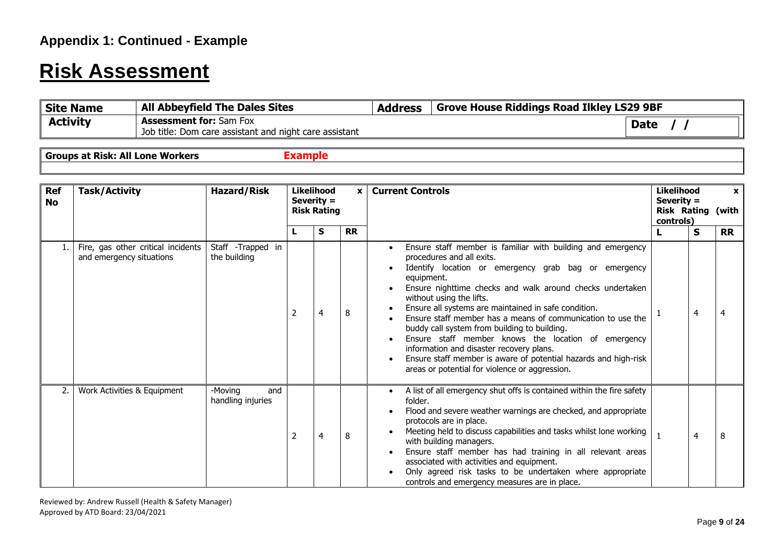# **Risk Assessment**

| Site Name       | <b>All Abbeyfield The Dales Sites</b>                  | <b>Address</b> | <sup>1</sup> Grove House Riddings Road Ilkley LS29 9BF |             |
|-----------------|--------------------------------------------------------|----------------|--------------------------------------------------------|-------------|
| <b>Activity</b> | <b>Assessment for:</b> Sam Fox                         |                |                                                        | <b>Date</b> |
|                 | Job title: Dom care assistant and night care assistant |                |                                                        |             |

**Groups at Risk: All Lone Workers Example** 

| <b>Ref</b><br><b>No</b> | <b>Task/Activity</b>                                           | <b>Hazard/Risk</b>                  |                | <b>Likelihood</b><br>Severity =<br><b>Risk Rating</b> | x         |                                                                                                                                                                                                                                                                                                                                                                                                                                                                                                                                                                                                                                                        |  |   |           | <b>Likelihood</b><br><b>Current Controls</b><br>Severity =<br><b>Risk Rating (with</b><br>controls) |  |  | $\mathbf{x}$ |
|-------------------------|----------------------------------------------------------------|-------------------------------------|----------------|-------------------------------------------------------|-----------|--------------------------------------------------------------------------------------------------------------------------------------------------------------------------------------------------------------------------------------------------------------------------------------------------------------------------------------------------------------------------------------------------------------------------------------------------------------------------------------------------------------------------------------------------------------------------------------------------------------------------------------------------------|--|---|-----------|-----------------------------------------------------------------------------------------------------|--|--|--------------|
|                         |                                                                |                                     |                | s                                                     | <b>RR</b> |                                                                                                                                                                                                                                                                                                                                                                                                                                                                                                                                                                                                                                                        |  | S | <b>RR</b> |                                                                                                     |  |  |              |
|                         | Fire, gas other critical incidents<br>and emergency situations | Staff -Trapped in<br>the building   | 2              | $\overline{4}$                                        | 8         | Ensure staff member is familiar with building and emergency<br>procedures and all exits.<br>Identify location or emergency grab bag or emergency<br>equipment.<br>Ensure nighttime checks and walk around checks undertaken<br>without using the lifts.<br>Ensure all systems are maintained in safe condition.<br>Ensure staff member has a means of communication to use the<br>buddy call system from building to building.<br>Ensure staff member knows the location of emergency<br>information and disaster recovery plans.<br>Ensure staff member is aware of potential hazards and high-risk<br>areas or potential for violence or aggression. |  | 4 | 4         |                                                                                                     |  |  |              |
| 2.                      | Work Activities & Equipment                                    | -Moving<br>and<br>handling injuries | $\overline{2}$ | $\overline{4}$                                        | 8         | A list of all emergency shut offs is contained within the fire safety<br>folder.<br>Flood and severe weather warnings are checked, and appropriate<br>protocols are in place.<br>Meeting held to discuss capabilities and tasks whilst lone working<br>with building managers.<br>Ensure staff member has had training in all relevant areas<br>associated with activities and equipment.<br>Only agreed risk tasks to be undertaken where appropriate<br>controls and emergency measures are in place.                                                                                                                                                |  | 4 | 8         |                                                                                                     |  |  |              |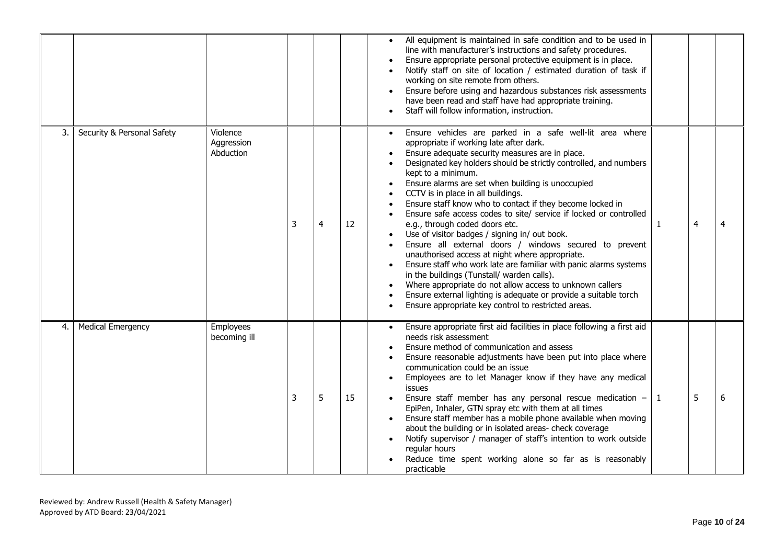|    |                            |                                     |   |                |    | All equipment is maintained in safe condition and to be used in<br>line with manufacturer's instructions and safety procedures.<br>Ensure appropriate personal protective equipment is in place.<br>Notify staff on site of location / estimated duration of task if<br>working on site remote from others.<br>Ensure before using and hazardous substances risk assessments<br>have been read and staff have had appropriate training.<br>Staff will follow information, instruction.                                                                                                                                                                                                                                                                                                                                                                                                                                                                                                                                          |  |
|----|----------------------------|-------------------------------------|---|----------------|----|---------------------------------------------------------------------------------------------------------------------------------------------------------------------------------------------------------------------------------------------------------------------------------------------------------------------------------------------------------------------------------------------------------------------------------------------------------------------------------------------------------------------------------------------------------------------------------------------------------------------------------------------------------------------------------------------------------------------------------------------------------------------------------------------------------------------------------------------------------------------------------------------------------------------------------------------------------------------------------------------------------------------------------|--|
| 3. | Security & Personal Safety | Violence<br>Aggression<br>Abduction | 3 | $\overline{4}$ | 12 | Ensure vehicles are parked in a safe well-lit area where<br>appropriate if working late after dark.<br>Ensure adequate security measures are in place.<br>Designated key holders should be strictly controlled, and numbers<br>kept to a minimum.<br>Ensure alarms are set when building is unoccupied<br>CCTV is in place in all buildings.<br>Ensure staff know who to contact if they become locked in<br>Ensure safe access codes to site/ service if locked or controlled<br>e.g., through coded doors etc.<br>$\overline{4}$<br>4<br>$\mathbf{1}$<br>Use of visitor badges / signing in/ out book.<br>Ensure all external doors / windows secured to prevent<br>unauthorised access at night where appropriate.<br>Ensure staff who work late are familiar with panic alarms systems<br>in the buildings (Tunstall/ warden calls).<br>Where appropriate do not allow access to unknown callers<br>Ensure external lighting is adequate or provide a suitable torch<br>Ensure appropriate key control to restricted areas. |  |
| 4. | <b>Medical Emergency</b>   | Employees<br>becoming ill           | 3 | 5              | 15 | Ensure appropriate first aid facilities in place following a first aid<br>needs risk assessment<br>Ensure method of communication and assess<br>Ensure reasonable adjustments have been put into place where<br>communication could be an issue<br>Employees are to let Manager know if they have any medical<br>issues<br>5<br>6<br>Ensure staff member has any personal rescue medication $-11$<br>EpiPen, Inhaler, GTN spray etc with them at all times<br>Ensure staff member has a mobile phone available when moving<br>about the building or in isolated areas- check coverage<br>Notify supervisor / manager of staff's intention to work outside<br>regular hours<br>Reduce time spent working alone so far as is reasonably<br>practicable                                                                                                                                                                                                                                                                            |  |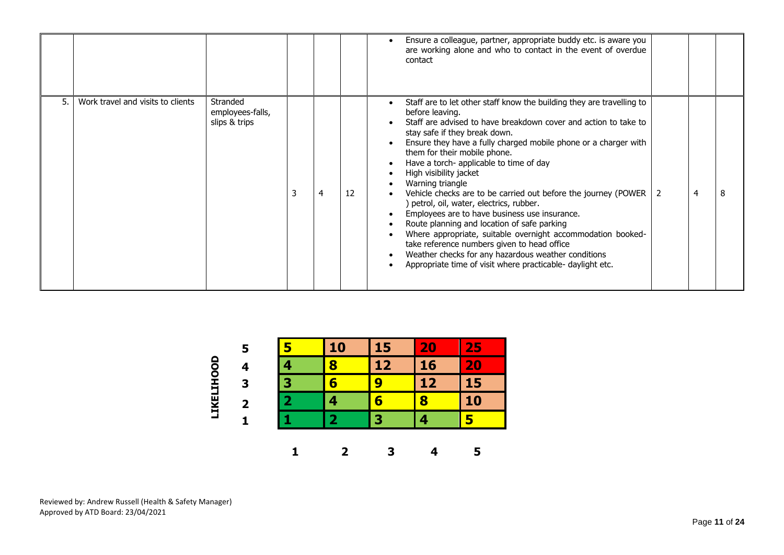|     |                                   |                                               |   |    | Ensure a colleague, partner, appropriate buddy etc. is aware you<br>are working alone and who to contact in the event of overdue<br>contact                                                                                                                                                                                                                                                                                                                                                                                                                                                                                                                                                                                                                                                                                                           |
|-----|-----------------------------------|-----------------------------------------------|---|----|-------------------------------------------------------------------------------------------------------------------------------------------------------------------------------------------------------------------------------------------------------------------------------------------------------------------------------------------------------------------------------------------------------------------------------------------------------------------------------------------------------------------------------------------------------------------------------------------------------------------------------------------------------------------------------------------------------------------------------------------------------------------------------------------------------------------------------------------------------|
| .5. | Work travel and visits to clients | Stranded<br>employees-falls,<br>slips & trips | 4 | 12 | Staff are to let other staff know the building they are travelling to<br>before leaving.<br>Staff are advised to have breakdown cover and action to take to<br>stay safe if they break down.<br>Ensure they have a fully charged mobile phone or a charger with<br>them for their mobile phone.<br>Have a torch- applicable to time of day<br>High visibility jacket<br>Warning triangle<br>8<br>Vehicle checks are to be carried out before the journey (POWER  <br>4<br>) petrol, oil, water, electrics, rubber.<br>Employees are to have business use insurance.<br>Route planning and location of safe parking<br>Where appropriate, suitable overnight accommodation booked-<br>take reference numbers given to head office<br>Weather checks for any hazardous weather conditions<br>Appropriate time of visit where practicable- daylight etc. |

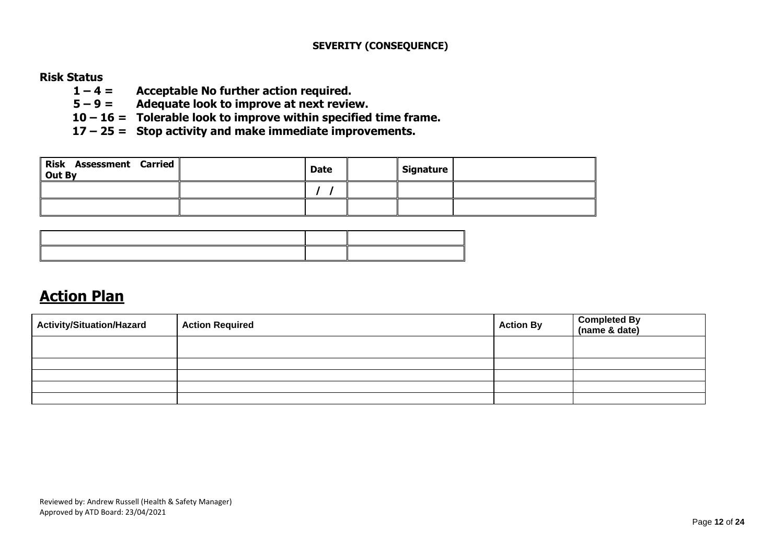#### **SEVERITY (CONSEQUENCE)**

#### **Risk Status**

- **1 – 4 = Acceptable No further action required.**
- **5 – 9 = Adequate look to improve at next review.**
- **10 – 16 = Tolerable look to improve within specified time frame.**
- **17 – 25 = Stop activity and make immediate improvements.**

| <b>Risk Assessment Carried</b><br>Out By | <b>Date</b> | Signature |  |
|------------------------------------------|-------------|-----------|--|
|                                          |             |           |  |
|                                          |             |           |  |

# **Action Plan**

| <b>Activity/Situation/Hazard</b> | <b>Action Required</b> | <b>Action By</b> | Completed By<br>(name & date) |
|----------------------------------|------------------------|------------------|-------------------------------|
|                                  |                        |                  |                               |
|                                  |                        |                  |                               |
|                                  |                        |                  |                               |
|                                  |                        |                  |                               |
|                                  |                        |                  |                               |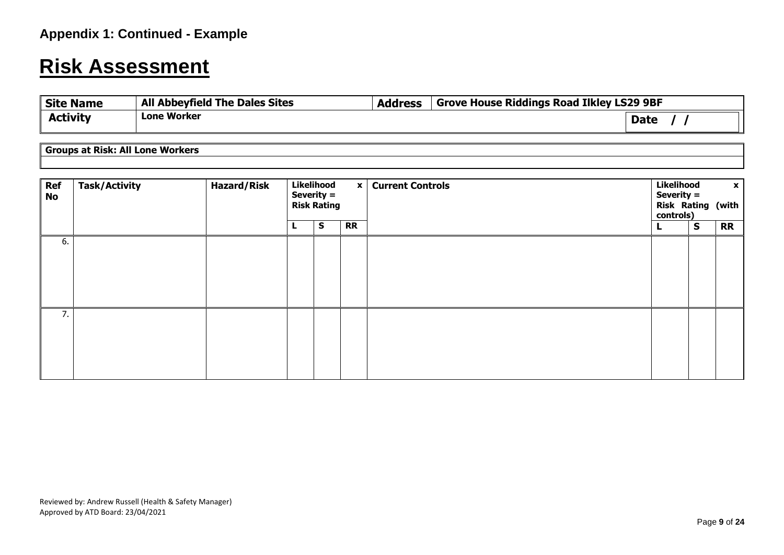# **Risk Assessment**

| <b>Site Name</b> | <b>All Abbeyfield The Dales Sites</b> | <b>Address</b> | <b>Grove House Riddings Road Ilkley LS29 9BF</b> |  |
|------------------|---------------------------------------|----------------|--------------------------------------------------|--|
| <b>Activity</b>  | <b>Lone Worker</b>                    |                | <b>Date</b>                                      |  |

**Groups at Risk: All Lone Workers** 

| <b>Ref</b><br><b>No</b> | <b>Task/Activity</b> | <b>Hazard/Risk</b> | Likelihood<br>Severity $=$<br><b>Risk Rating</b> | $\mathbf{x}$ | <b>Current Controls</b> |  | Likelihood<br>$\mathbf{x}$<br>Severity =<br><b>Risk Rating (with</b><br>controls) |           |  |
|-------------------------|----------------------|--------------------|--------------------------------------------------|--------------|-------------------------|--|-----------------------------------------------------------------------------------|-----------|--|
|                         |                      |                    | S                                                | <b>RR</b>    |                         |  | $\mathbf{s}$                                                                      | <b>RR</b> |  |
| 6.                      |                      |                    |                                                  |              |                         |  |                                                                                   |           |  |
| 7.                      |                      |                    |                                                  |              |                         |  |                                                                                   |           |  |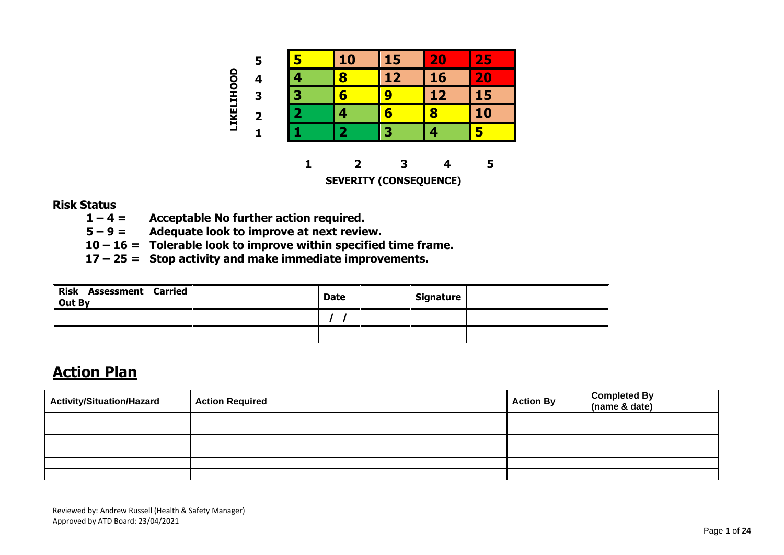

#### **Risk Status**

- **1 – 4 = Acceptable No further action required.**
- **5 – 9 = Adequate look to improve at next review.**
- **10 – 16 = Tolerable look to improve within specified time frame.**
- **17 – 25 = Stop activity and make immediate improvements.**

| Risk Assessment Carried<br>Out By | <b>Date</b> | Signature |  |
|-----------------------------------|-------------|-----------|--|
|                                   |             |           |  |
|                                   |             |           |  |

# **Action Plan**

| Activity/Situation/Hazard | <b>Action Required</b> | <b>Action By</b> | Completed By<br>(name & date) |
|---------------------------|------------------------|------------------|-------------------------------|
|                           |                        |                  |                               |
|                           |                        |                  |                               |
|                           |                        |                  |                               |
|                           |                        |                  |                               |
|                           |                        |                  |                               |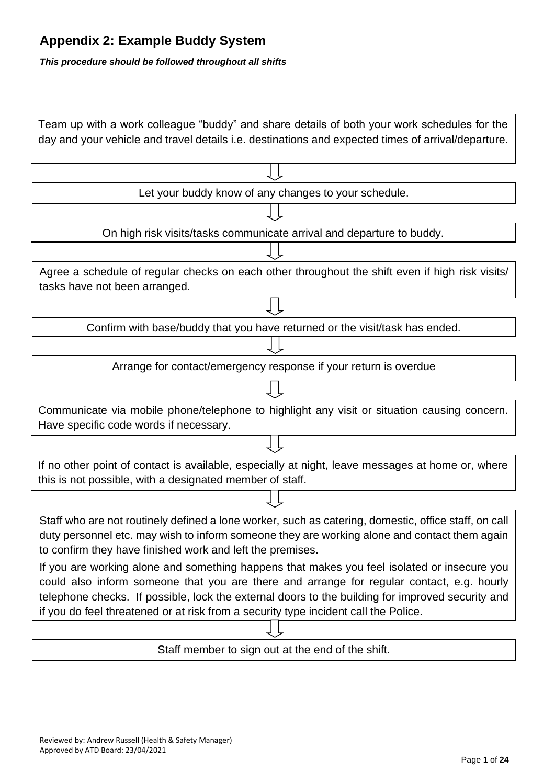# **Appendix 2: Example Buddy System**

*This procedure should be followed throughout all shifts*

| Let your buddy know of any changes to your schedule.<br>On high risk visits/tasks communicate arrival and departure to buddy.<br>Agree a schedule of regular checks on each other throughout the shift even if high risk visits/<br>tasks have not been arranged.<br>Confirm with base/buddy that you have returned or the visit/task has ended.<br>Arrange for contact/emergency response if your return is overdue<br>Communicate via mobile phone/telephone to highlight any visit or situation causing concern.<br>Have specific code words if necessary.<br>If no other point of contact is available, especially at night, leave messages at home or, where<br>this is not possible, with a designated member of staff.<br>Staff who are not routinely defined a lone worker, such as catering, domestic, office staff, on call<br>duty personnel etc. may wish to inform someone they are working alone and contact them again<br>to confirm they have finished work and left the premises.<br>If you are working alone and something happens that makes you feel isolated or insecure you<br>could also inform someone that you are there and arrange for regular contact, e.g. hourly<br>telephone checks. If possible, lock the external doors to the building for improved security and<br>if you do feel threatened or at risk from a security type incident call the Police. | Team up with a work colleague "buddy" and share details of both your work schedules for the<br>day and your vehicle and travel details i.e. destinations and expected times of arrival/departure. |
|-------------------------------------------------------------------------------------------------------------------------------------------------------------------------------------------------------------------------------------------------------------------------------------------------------------------------------------------------------------------------------------------------------------------------------------------------------------------------------------------------------------------------------------------------------------------------------------------------------------------------------------------------------------------------------------------------------------------------------------------------------------------------------------------------------------------------------------------------------------------------------------------------------------------------------------------------------------------------------------------------------------------------------------------------------------------------------------------------------------------------------------------------------------------------------------------------------------------------------------------------------------------------------------------------------------------------------------------------------------------------------------------|---------------------------------------------------------------------------------------------------------------------------------------------------------------------------------------------------|
|                                                                                                                                                                                                                                                                                                                                                                                                                                                                                                                                                                                                                                                                                                                                                                                                                                                                                                                                                                                                                                                                                                                                                                                                                                                                                                                                                                                           |                                                                                                                                                                                                   |
|                                                                                                                                                                                                                                                                                                                                                                                                                                                                                                                                                                                                                                                                                                                                                                                                                                                                                                                                                                                                                                                                                                                                                                                                                                                                                                                                                                                           |                                                                                                                                                                                                   |
|                                                                                                                                                                                                                                                                                                                                                                                                                                                                                                                                                                                                                                                                                                                                                                                                                                                                                                                                                                                                                                                                                                                                                                                                                                                                                                                                                                                           |                                                                                                                                                                                                   |
|                                                                                                                                                                                                                                                                                                                                                                                                                                                                                                                                                                                                                                                                                                                                                                                                                                                                                                                                                                                                                                                                                                                                                                                                                                                                                                                                                                                           |                                                                                                                                                                                                   |
|                                                                                                                                                                                                                                                                                                                                                                                                                                                                                                                                                                                                                                                                                                                                                                                                                                                                                                                                                                                                                                                                                                                                                                                                                                                                                                                                                                                           |                                                                                                                                                                                                   |
|                                                                                                                                                                                                                                                                                                                                                                                                                                                                                                                                                                                                                                                                                                                                                                                                                                                                                                                                                                                                                                                                                                                                                                                                                                                                                                                                                                                           |                                                                                                                                                                                                   |
|                                                                                                                                                                                                                                                                                                                                                                                                                                                                                                                                                                                                                                                                                                                                                                                                                                                                                                                                                                                                                                                                                                                                                                                                                                                                                                                                                                                           |                                                                                                                                                                                                   |
|                                                                                                                                                                                                                                                                                                                                                                                                                                                                                                                                                                                                                                                                                                                                                                                                                                                                                                                                                                                                                                                                                                                                                                                                                                                                                                                                                                                           |                                                                                                                                                                                                   |
|                                                                                                                                                                                                                                                                                                                                                                                                                                                                                                                                                                                                                                                                                                                                                                                                                                                                                                                                                                                                                                                                                                                                                                                                                                                                                                                                                                                           |                                                                                                                                                                                                   |
|                                                                                                                                                                                                                                                                                                                                                                                                                                                                                                                                                                                                                                                                                                                                                                                                                                                                                                                                                                                                                                                                                                                                                                                                                                                                                                                                                                                           |                                                                                                                                                                                                   |
|                                                                                                                                                                                                                                                                                                                                                                                                                                                                                                                                                                                                                                                                                                                                                                                                                                                                                                                                                                                                                                                                                                                                                                                                                                                                                                                                                                                           |                                                                                                                                                                                                   |
|                                                                                                                                                                                                                                                                                                                                                                                                                                                                                                                                                                                                                                                                                                                                                                                                                                                                                                                                                                                                                                                                                                                                                                                                                                                                                                                                                                                           |                                                                                                                                                                                                   |
|                                                                                                                                                                                                                                                                                                                                                                                                                                                                                                                                                                                                                                                                                                                                                                                                                                                                                                                                                                                                                                                                                                                                                                                                                                                                                                                                                                                           |                                                                                                                                                                                                   |
|                                                                                                                                                                                                                                                                                                                                                                                                                                                                                                                                                                                                                                                                                                                                                                                                                                                                                                                                                                                                                                                                                                                                                                                                                                                                                                                                                                                           |                                                                                                                                                                                                   |
|                                                                                                                                                                                                                                                                                                                                                                                                                                                                                                                                                                                                                                                                                                                                                                                                                                                                                                                                                                                                                                                                                                                                                                                                                                                                                                                                                                                           |                                                                                                                                                                                                   |
|                                                                                                                                                                                                                                                                                                                                                                                                                                                                                                                                                                                                                                                                                                                                                                                                                                                                                                                                                                                                                                                                                                                                                                                                                                                                                                                                                                                           |                                                                                                                                                                                                   |
|                                                                                                                                                                                                                                                                                                                                                                                                                                                                                                                                                                                                                                                                                                                                                                                                                                                                                                                                                                                                                                                                                                                                                                                                                                                                                                                                                                                           |                                                                                                                                                                                                   |
|                                                                                                                                                                                                                                                                                                                                                                                                                                                                                                                                                                                                                                                                                                                                                                                                                                                                                                                                                                                                                                                                                                                                                                                                                                                                                                                                                                                           |                                                                                                                                                                                                   |
|                                                                                                                                                                                                                                                                                                                                                                                                                                                                                                                                                                                                                                                                                                                                                                                                                                                                                                                                                                                                                                                                                                                                                                                                                                                                                                                                                                                           | Staff member to sign out at the end of the shift.                                                                                                                                                 |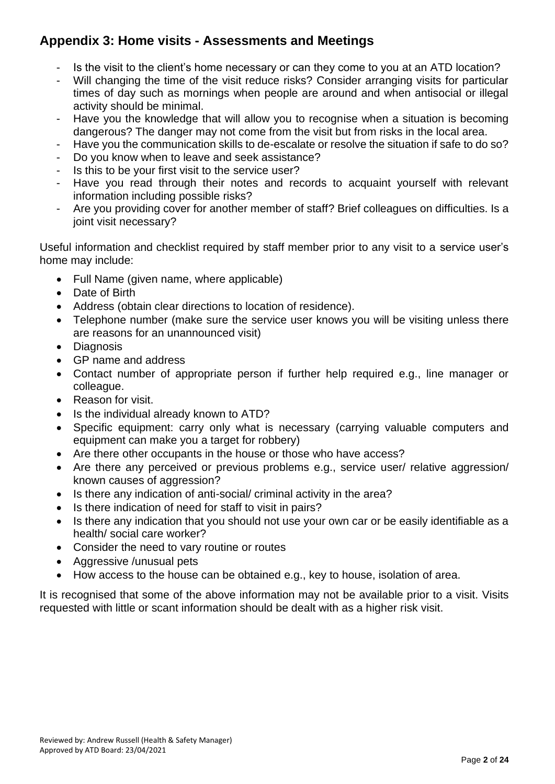# **Appendix 3: Home visits - Assessments and Meetings**

- Is the visit to the client's home necessary or can they come to you at an ATD location?
- Will changing the time of the visit reduce risks? Consider arranging visits for particular times of day such as mornings when people are around and when antisocial or illegal activity should be minimal.
- Have you the knowledge that will allow you to recognise when a situation is becoming dangerous? The danger may not come from the visit but from risks in the local area.
- Have you the communication skills to de-escalate or resolve the situation if safe to do so?
- Do you know when to leave and seek assistance?
- Is this to be your first visit to the service user?
- Have you read through their notes and records to acquaint yourself with relevant information including possible risks?
- Are you providing cover for another member of staff? Brief colleagues on difficulties. Is a joint visit necessary?

Useful information and checklist required by staff member prior to any visit to a service user's home may include:

- Full Name (given name, where applicable)
- Date of Birth
- Address (obtain clear directions to location of residence).
- Telephone number (make sure the service user knows you will be visiting unless there are reasons for an unannounced visit)
- Diagnosis
- GP name and address
- Contact number of appropriate person if further help required e.g., line manager or colleague.
- Reason for visit.
- Is the individual already known to ATD?
- Specific equipment: carry only what is necessary (carrying valuable computers and equipment can make you a target for robbery)
- Are there other occupants in the house or those who have access?
- Are there any perceived or previous problems e.g., service user/ relative aggression/ known causes of aggression?
- Is there any indication of anti-social/ criminal activity in the area?
- Is there indication of need for staff to visit in pairs?
- Is there any indication that you should not use your own car or be easily identifiable as a health/ social care worker?
- Consider the need to vary routine or routes
- Aggressive /unusual pets
- How access to the house can be obtained e.g., key to house, isolation of area.

It is recognised that some of the above information may not be available prior to a visit. Visits requested with little or scant information should be dealt with as a higher risk visit.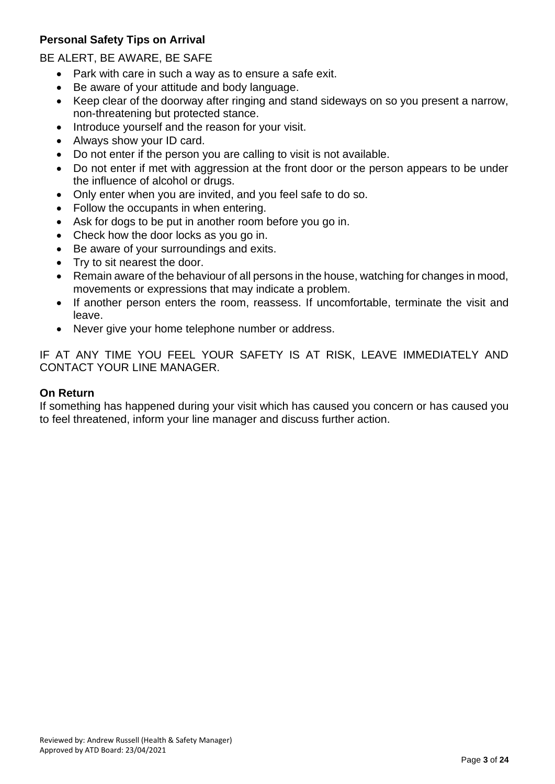# **Personal Safety Tips on Arrival**

BE ALERT, BE AWARE, BE SAFE

- Park with care in such a way as to ensure a safe exit.
- Be aware of your attitude and body language.
- Keep clear of the doorway after ringing and stand sideways on so you present a narrow, non-threatening but protected stance.
- Introduce yourself and the reason for your visit.
- Always show your ID card.
- Do not enter if the person you are calling to visit is not available.
- Do not enter if met with aggression at the front door or the person appears to be under the influence of alcohol or drugs.
- Only enter when you are invited, and you feel safe to do so.
- Follow the occupants in when entering.
- Ask for dogs to be put in another room before you go in.
- Check how the door locks as you go in.
- Be aware of your surroundings and exits.
- Try to sit nearest the door.
- Remain aware of the behaviour of all persons in the house, watching for changes in mood, movements or expressions that may indicate a problem.
- If another person enters the room, reassess. If uncomfortable, terminate the visit and leave.
- Never give your home telephone number or address.

IF AT ANY TIME YOU FEEL YOUR SAFETY IS AT RISK, LEAVE IMMEDIATELY AND CONTACT YOUR LINE MANAGER.

#### **On Return**

If something has happened during your visit which has caused you concern or has caused you to feel threatened, inform your line manager and discuss further action.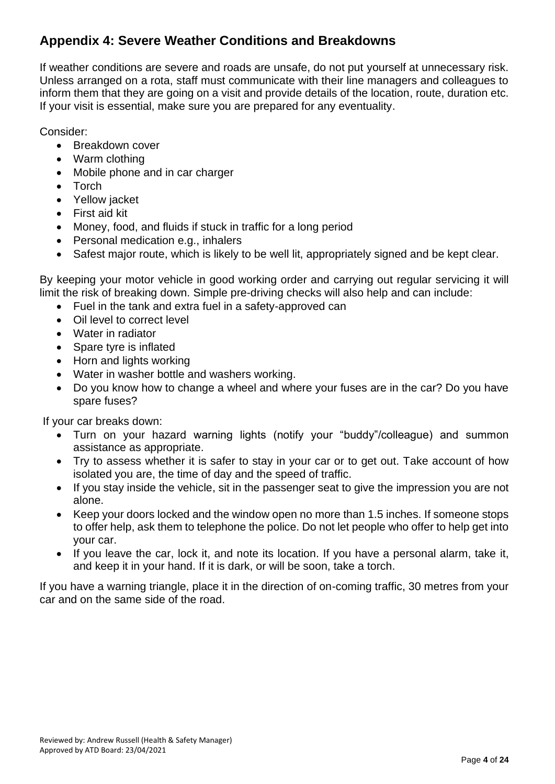# **Appendix 4: Severe Weather Conditions and Breakdowns**

If weather conditions are severe and roads are unsafe, do not put yourself at unnecessary risk. Unless arranged on a rota, staff must communicate with their line managers and colleagues to inform them that they are going on a visit and provide details of the location, route, duration etc. If your visit is essential, make sure you are prepared for any eventuality.

Consider:

- Breakdown cover
- Warm clothing
- Mobile phone and in car charger
- Torch
- Yellow jacket
- First aid kit
- Money, food, and fluids if stuck in traffic for a long period
- Personal medication e.g., inhalers
- Safest major route, which is likely to be well lit, appropriately signed and be kept clear.

By keeping your motor vehicle in good working order and carrying out regular servicing it will limit the risk of breaking down. Simple pre-driving checks will also help and can include:

- Fuel in the tank and extra fuel in a safety-approved can
- Oil level to correct level
- Water in radiator
- Spare tyre is inflated
- Horn and lights working
- Water in washer bottle and washers working.
- Do you know how to change a wheel and where your fuses are in the car? Do you have spare fuses?

If your car breaks down:

- Turn on your hazard warning lights (notify your "buddy"/colleague) and summon assistance as appropriate.
- Try to assess whether it is safer to stay in your car or to get out. Take account of how isolated you are, the time of day and the speed of traffic.
- If you stay inside the vehicle, sit in the passenger seat to give the impression you are not alone.
- Keep your doors locked and the window open no more than 1.5 inches. If someone stops to offer help, ask them to telephone the police. Do not let people who offer to help get into your car.
- If you leave the car, lock it, and note its location. If you have a personal alarm, take it, and keep it in your hand. If it is dark, or will be soon, take a torch.

If you have a warning triangle, place it in the direction of on-coming traffic, 30 metres from your car and on the same side of the road.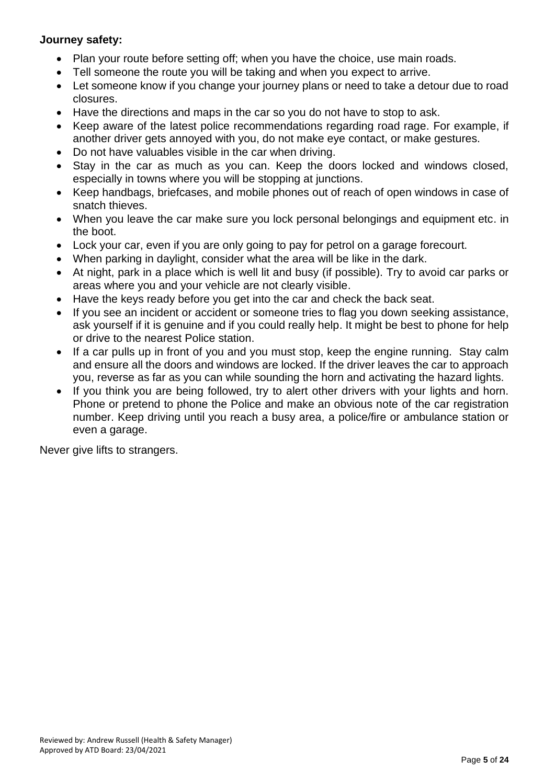#### **Journey safety:**

- Plan your route before setting off: when you have the choice, use main roads.
- Tell someone the route you will be taking and when you expect to arrive.
- Let someone know if you change your journey plans or need to take a detour due to road closures.
- Have the directions and maps in the car so you do not have to stop to ask.
- Keep aware of the latest police recommendations regarding road rage. For example, if another driver gets annoyed with you, do not make eye contact, or make gestures.
- Do not have valuables visible in the car when driving.
- Stay in the car as much as you can. Keep the doors locked and windows closed, especially in towns where you will be stopping at junctions.
- Keep handbags, briefcases, and mobile phones out of reach of open windows in case of snatch thieves.
- When you leave the car make sure you lock personal belongings and equipment etc. in the boot.
- Lock your car, even if you are only going to pay for petrol on a garage forecourt.
- When parking in daylight, consider what the area will be like in the dark.
- At night, park in a place which is well lit and busy (if possible). Try to avoid car parks or areas where you and your vehicle are not clearly visible.
- Have the keys ready before you get into the car and check the back seat.
- If you see an incident or accident or someone tries to flag you down seeking assistance, ask yourself if it is genuine and if you could really help. It might be best to phone for help or drive to the nearest Police station.
- If a car pulls up in front of you and you must stop, keep the engine running. Stay calm and ensure all the doors and windows are locked. If the driver leaves the car to approach you, reverse as far as you can while sounding the horn and activating the hazard lights.
- If you think you are being followed, try to alert other drivers with your lights and horn. Phone or pretend to phone the Police and make an obvious note of the car registration number. Keep driving until you reach a busy area, a police/fire or ambulance station or even a garage.

Never give lifts to strangers.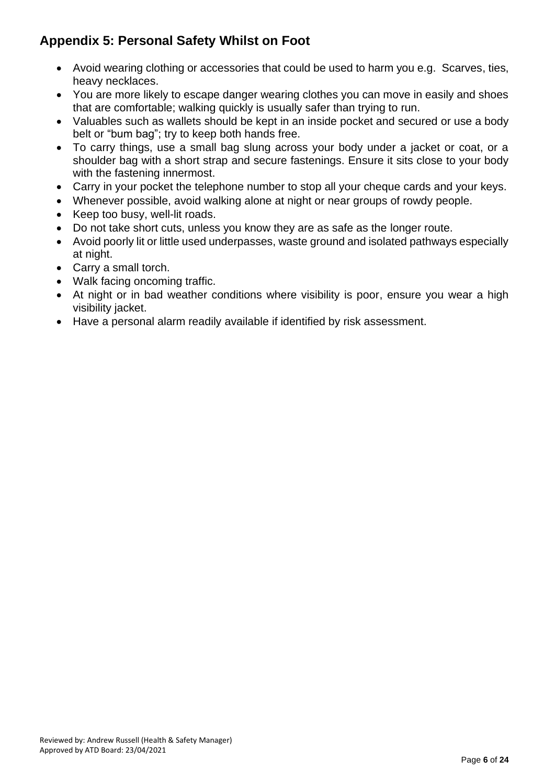# **Appendix 5: Personal Safety Whilst on Foot**

- Avoid wearing clothing or accessories that could be used to harm you e.g. Scarves, ties, heavy necklaces.
- You are more likely to escape danger wearing clothes you can move in easily and shoes that are comfortable; walking quickly is usually safer than trying to run.
- Valuables such as wallets should be kept in an inside pocket and secured or use a body belt or "bum bag"; try to keep both hands free.
- To carry things, use a small bag slung across your body under a jacket or coat, or a shoulder bag with a short strap and secure fastenings. Ensure it sits close to your body with the fastening innermost.
- Carry in your pocket the telephone number to stop all your cheque cards and your keys.
- Whenever possible, avoid walking alone at night or near groups of rowdy people.
- Keep too busy, well-lit roads.
- Do not take short cuts, unless you know they are as safe as the longer route.
- Avoid poorly lit or little used underpasses, waste ground and isolated pathways especially at night.
- Carry a small torch.
- Walk facing oncoming traffic.
- At night or in bad weather conditions where visibility is poor, ensure you wear a high visibility jacket.
- Have a personal alarm readily available if identified by risk assessment.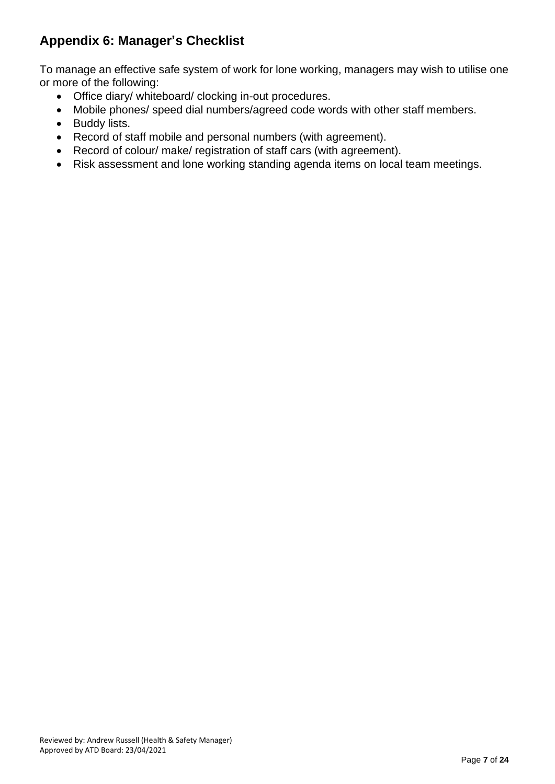# **Appendix 6: Manager's Checklist**

To manage an effective safe system of work for lone working, managers may wish to utilise one or more of the following:

- Office diary/ whiteboard/ clocking in-out procedures.
- Mobile phones/ speed dial numbers/agreed code words with other staff members.
- Buddy lists.
- Record of staff mobile and personal numbers (with agreement).
- Record of colour/ make/ registration of staff cars (with agreement).
- Risk assessment and lone working standing agenda items on local team meetings.